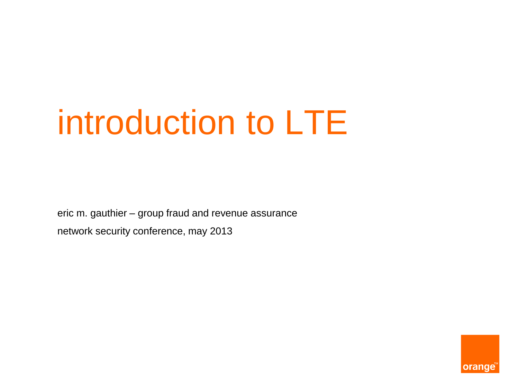# introduction to LTE

eric m. gauthier – group fraud and revenue assurance network security conference, may 2013

orange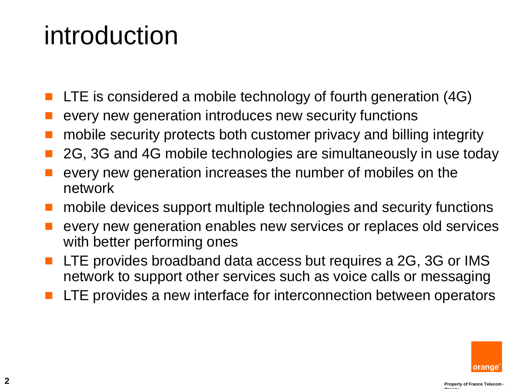#### introduction

- LTE is considered a mobile technology of fourth generation (4G)
- every new generation introduces new security functions
- mobile security protects both customer privacy and billing integrity
- 2G, 3G and 4G mobile technologies are simultaneously in use today
- every new generation increases the number of mobiles on the network
- mobile devices support multiple technologies and security functions
- every new generation enables new services or replaces old services with better performing ones
- LTE provides broadband data access but requires a 2G, 3G or IMS network to support other services such as voice calls or messaging
- LTE provides a new interface for interconnection between operators

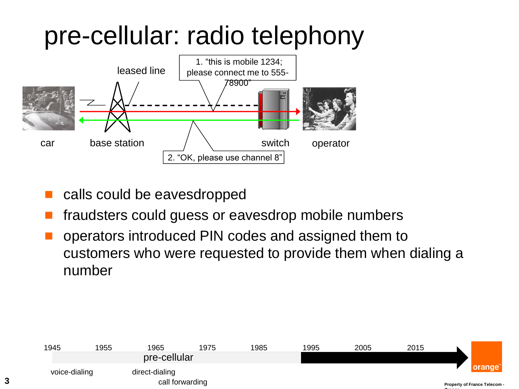#### pre-cellular: radio telephony



- calls could be eavesdropped
- fraudsters could guess or eavesdrop mobile numbers
- operators introduced PIN codes and assigned them to customers who were requested to provide them when dialing a number

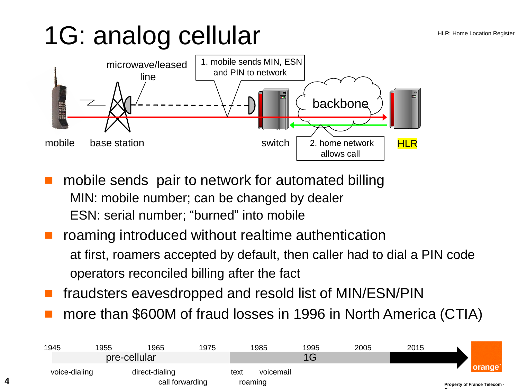## 1G: analog cellular

**4**



- mobile sends pair to network for automated billing MIN: mobile number; can be changed by dealer ESN: serial number; "burned" into mobile
- roaming introduced without realtime authentication at first, roamers accepted by default, then caller had to dial a PIN code operators reconciled billing after the fact
- fraudsters eavesdropped and resold list of MIN/ESN/PIN
- more than \$600M of fraud losses in 1996 in North America (CTIA)

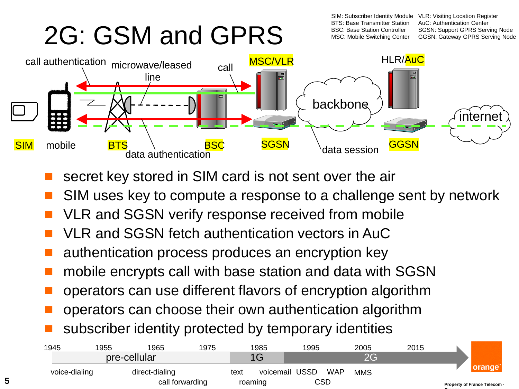### 2G: GSM and GPRS

SIM: Subscriber Identity Module BTS: Base Transmitter Station BSC: Base Station Controller MSC: Mobile Switching Center

VLR: Visiting Location Register AuC: Authentication Center SGSN: Support GPRS Serving Node GGSN: Gateway GPRS Serving Node

**Orange**



- secret key stored in SIM card is not sent over the air
- SIM uses key to compute a response to a challenge sent by network
- VLR and SGSN verify response received from mobile
- VLR and SGSN fetch authentication vectors in AuC
- authentication process produces an encryption key
- mobile encrypts call with base station and data with SGSN
- operators can use different flavors of encryption algorithm
- operators can choose their own authentication algorithm
- subscriber identity protected by temporary identities

**5**

|                              | 2015 | 2005       |            | 1995           | 1985 |         | 1975            | 1965           | '955          | 1945 |
|------------------------------|------|------------|------------|----------------|------|---------|-----------------|----------------|---------------|------|
|                              |      | nr         |            |                |      |         |                 | pre-cellular   |               |      |
|                              |      | <b>MMS</b> | <b>WAP</b> | voicemail USSD |      | text    |                 | direct-dialing | voice-dialing |      |
| Property of France Telecom - |      |            |            | CSD            |      | roaming | call forwarding |                |               |      |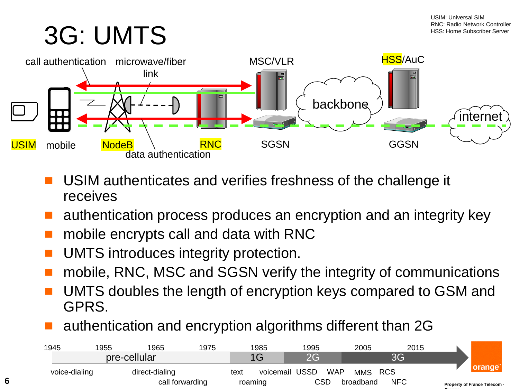### 3G: UMTS

**6**

**Orange**



- USIM authenticates and verifies freshness of the challenge it receives
- authentication process produces an encryption and an integrity key
- mobile encrypts call and data with RNC
- UMTS introduces integrity protection.
- mobile, RNC, MSC and SGSN verify the integrity of communications
- UMTS doubles the length of encryption keys compared to GSM and GPRS.
- authentication and encryption algorithms different than 2G

|                              | 2015       | 2005      |            | 1995           | 1985    |      | 1975            | 1965           | 955 | 1945          |
|------------------------------|------------|-----------|------------|----------------|---------|------|-----------------|----------------|-----|---------------|
|                              | ВG         |           |            | 2G             |         |      |                 | pre-cellular   |     |               |
|                              | <b>RCS</b> | MMS.      | <b>WAP</b> | voicemail USSD |         | text |                 | direct-dialing |     | voice-dialing |
| Property of France Telecom - | <b>NFC</b> | broadband | CSD        |                | roaming |      | call forwarding |                |     |               |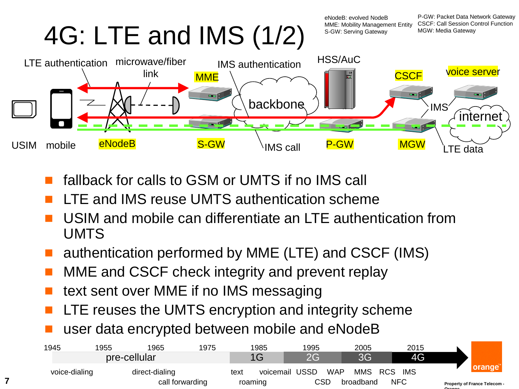4G: LTE and IMS (1/2)

eNodeB: evolved NodeB MME: Mobility Management Entity S-GW: Serving Gateway

P-GW: Packet Data Network Gateway CSCF: Call Session Control Function MGW: Media Gateway



- fallback for calls to GSM or UMTS if no IMS call
- LTE and IMS reuse UMTS authentication scheme
- USIM and mobile can differentiate an LTE authentication from UMTS
- authentication performed by MME (LTE) and CSCF (IMS)
- MME and CSCF check integrity and prevent replay
- text sent over MME if no IMS messaging

**7**

- LTE reuses the UMTS encryption and integrity scheme
- user data encrypted between mobile and eNodeB

| 1945          | 1955 | 1965           | 1975                       |      | 1985      | 1995        |            | 2005       |            | 2015       |        |                              |
|---------------|------|----------------|----------------------------|------|-----------|-------------|------------|------------|------------|------------|--------|------------------------------|
|               |      | pre-cellular   |                            |      | 1G        | <b>2G</b>   |            | 3G         |            | 4G         |        |                              |
| voice-dialing |      | direct-dialing |                            | text | voicemail | <b>USSD</b> | <b>WAP</b> | <b>MMS</b> | <b>RCS</b> | IMS        |        |                              |
|               |      |                | call forwarding<br>roaming |      |           |             | CSD        | broadband  |            | <b>NFC</b> | Orango | Property of France Telecom - |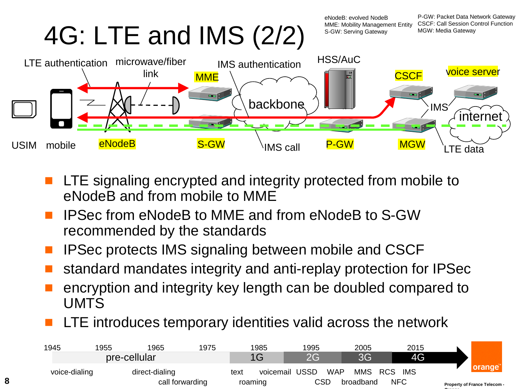4G: LTE and IMS (2/2)

eNodeB: evolved NodeB MME: Mobility Management Entity S-GW: Serving Gateway

P-GW: Packet Data Network Gateway CSCF: Call Session Control Function MGW: Media Gateway



- LTE signaling encrypted and integrity protected from mobile to eNodeB and from mobile to MME
- IPSec from eNodeB to MME and from eNodeB to S-GW recommended by the standards
- IPSec protects IMS signaling between mobile and CSCF
- standard mandates integrity and anti-replay protection for IPSec
- encryption and integrity key length can be doubled compared to UMTS
- LTE introduces temporary identities valid across the network

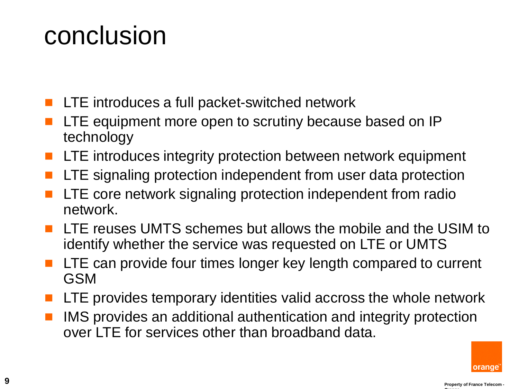#### conclusion

- LTE introduces a full packet-switched network
- LTE equipment more open to scrutiny because based on IP technology
- LTE introduces integrity protection between network equipment
- LTE signaling protection independent from user data protection
- LTE core network signaling protection independent from radio network.
- LTE reuses UMTS schemes but allows the mobile and the USIM to identify whether the service was requested on LTE or UMTS
- LTE can provide four times longer key length compared to current GSM
- LTE provides temporary identities valid accross the whole network
- IMS provides an additional authentication and integrity protection over LTE for services other than broadband data.